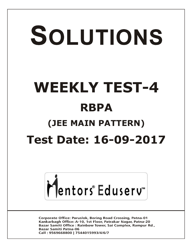# SOLUTIONS **WEEKLY TEST-4 RBPA (JEE MAIN PATTERN) Test Date: 16-09-2017**



**Corporate Office: Paruslok, Boring Road Crossing, Patna-01** Kankarbagh Office: A-10, 1st Floor, Patrakar Nagar, Patna-20 Bazar Samiti Office: Rainbow Tower, Sai Complex, Rampur Rd., **Bazar Samiti Patna-06** Call: 9569668800 | 7544015993/4/6/7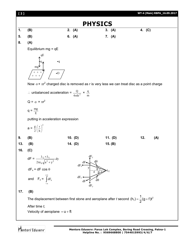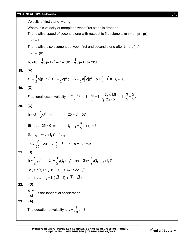Velocity of first stone  $= u - gt$ 

Where *u* is velocity of aeroplane when first stone is dropped.

The relative speed of second stone with respect to first stone  $= (u + ft) - (u - gt)$ 

$$
= (g + f)t
$$

The relative displacement between first and second stone after time  $t'(h_2)$ 

$$
= (g + f)tt'
$$

$$
h_1 + h_2 = \frac{1}{2}(g + f)t^2 + (g + f)tt' = \frac{1}{2}(g + f)(t + 2t')t
$$

## **18. (A)**

$$
S_1 = \frac{1}{2}a(p-1)^2, S_2 = \frac{1}{2}ap^2; \quad S = \frac{1}{2}a\Big[2(p^2 - p + 1) - 1\Big] = S_1 + S_2
$$

# **19. (C)**

Fractional loss in velocity = 
$$
\frac{v_1 - v_2}{v_1}
$$
 =  $1 - \frac{v_2}{v_1}$  =  $1 - \sqrt{\frac{2g \times 1.8}{2g \times 5}}$  =  $1 - \frac{3}{5} = \frac{2}{5}$ .

**20. (C)**

h = ut + 
$$
\frac{1}{2}
$$
gt<sup>2</sup>  $\Rightarrow$  25 = ut - 5t<sup>2</sup>  
\n5t<sup>2</sup> - ut + 25 = 0  $\Rightarrow$  t<sub>1</sub> + t<sub>2</sub> =  $\frac{u}{5}$ ; t<sub>1</sub>t<sub>2</sub> = 5  
\n(t<sub>1</sub> - t<sub>2</sub>)<sup>2</sup> = (t<sub>1</sub> + t<sub>2</sub>)<sup>2</sup> - 4t<sub>1</sub>t<sub>2</sub>  
\n16 =  $\frac{u^2}{25}$  - 20  $\Rightarrow \frac{u}{5}$  = 6  $\Rightarrow$  u = 30 m/s  
\n21. (D)

$$
h = \frac{1}{2}gt_1^2; \quad 2h = \frac{1}{2}g(t_1 + t_2)^2 \text{ and } 3h = \frac{1}{2}g(t_1 + t_2 + t_3)^2
$$
  
i.e.,  $t_1:(t_1 + t_2):(t_1 + t_2 + t_3) = 1: \sqrt{2}:\sqrt{3}$   
or  $t_1: t_2 + t_3 = 1: (\sqrt{2} - 1): (\sqrt{3} - \sqrt{2})$ 

$$
22. (D)
$$

$$
\frac{d|\vec{v}|}{dt}
$$
 is the tangential acceleration.

**23. (A)**

The equation of velocity is  $v = \frac{1}{48} s + 3$ 10  $=\frac{1}{40}$  S + 3

**Mentors Eduserv: Parus Lok Complex, Boring Road Crossing, Patna-1 Helpline No. : 9569668800 | 7544015993/4/6/7**

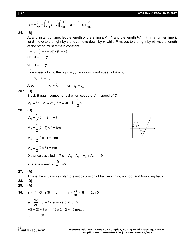$$
a = v \frac{dv}{ds} = \left(\frac{1}{10} s + 3\right) \left(\frac{1}{10}\right), \ a = \frac{1}{100} s + \frac{3}{10}
$$

# **24. (B)**

At any instant of time, let the length of the string  $BP = I_1$  and the length  $PA = I_2$ . In a further time *t*, let *B* move to the right by *x* and *A* move down by *y*, while *P* moves to the right by *ut*. As the length of the string must remain constant.

$$
l_1 + l_2 = (l_1 - x + ut) + (l_2 + y)
$$
  
or  $x = ut + y$   
or  $x = u + y$ 

 $\dot{x}$  = speed of *B* to the right =  $v_B$ ,  $\dot{y}$  = downward speed of *A* =  $v_A$ 

$$
\therefore \quad v_B = u + v_A \, .
$$

Also  $\dot{v}_B = \dot{v}_A$  or  $a_B = a_A$ 

### **25.: (D)**

Block *B* again comes to rest when speed of *A* = speed of *C*

$$
v_A = 6t^2
$$
,  $v_c = 3t$ ,  $6t^2 = 3t$ ,  $t = \frac{1}{2}s$ 

## **26. (D)**

$$
A_1 = \frac{1}{2}(2+4) \times 1 = 3m
$$
  
\n
$$
A_2 = \frac{1}{2}(2+1) \times 4 = 6m
$$
  
\n
$$
A_3 = \frac{1}{2}(2 \times 4) = 4m
$$
  
\n
$$
A_4 = \frac{1}{2}(2 \times 6) = 6m
$$

*A*1  $A_2$   $A_4$ *A*3

Distance travelled in 7 s =  $A_1 + A_2 + A_3 + A_4$  = 19 m

Average speed = 
$$
\frac{19}{7}
$$
 m/s

$$
27. (A)
$$

This is the situation similar to elastic collision of ball impinging on floor and bouncing back.

$$
28. (D)
$$

$$
29. (A)
$$

30. 
$$
s = t^3 - 6t^2 + 3t + 4
$$
,  $v = \frac{ds}{dt} = 3t^2 - 12t + 3$ ,  
\n $a = \frac{dv}{dt} = 6t - 12$ ; a is zero at  $t = 2$   
\n $v(t = 2) = 3 \times 4 - 12 \times 2 + 3 = -9$  m/sec  
\n $\therefore$  (B)

Mentors<sup>e</sup> Eduserv<sup>-</sup>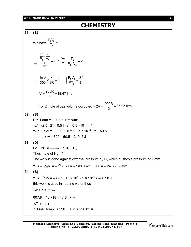#### **WT-4 (MAIN) RBPA\_16.09.2017** [ **5** ]

# **CHEMISTRY**

**31. (B)**

We have  $\frac{r_r v_r}{T_r}$  $\frac{P_r V_r}{T} = 2$ T  $=$  $\Rightarrow$  $\frac{c}{c}$   $\frac{v_{c}}{c}$   $\rightarrow$   $\frac{rv}{c}$  .  $\frac{v_{c}}{c}$ c <sup>v</sup>c c P V  $\frac{P_c V_c}{T} = 2 \Rightarrow \frac{PV}{T} \cdot \frac{T_c}{P_c \cdot V_c} = 2$ T  $\ddot{\phantom{0}}$  $=2 \Rightarrow \frac{1}{\pm} \cdot \frac{c}{\pm} = 2$  $\ddot{\phantom{0}}$  $\Rightarrow \frac{1 \times V}{300} \times \frac{8}{3R} = 2$   $\left| \frac{r_c v_c}{RT} \right|$ c  $\frac{1 \times V}{200} \times \frac{8}{20} = 2$   $\left(\frac{P_c V_c}{2T}\right) = \frac{3}{2}$ 300 3R RT<sub>c</sub> 8  $rac{\times V}{800} \times \frac{8}{3R} = 2$   $\left(\frac{P_c V_c}{RT_c} = \frac{3}{8}\right)$  $\Rightarrow$  V =  $\frac{900R}{4}$  = 18.47 litre 4  $=\frac{30011}{4}=1$ For 2 mole of gas volume occupied = 2V =  $\frac{900R}{2}$  = 36.95 litre 2  $=$ **32. (B)**  $P = 1$  atm = 1.013  $\times$  10<sup>5</sup> N/m<sup>2</sup>  $\Delta V = (2.5 - 2) = 0.5$  litre = 0.5  $\times$ 10<sup>-3</sup> m<sup>3</sup>  $W = -P\Delta V = -1.01 \times 10^5 \times 0.5 \times 10^{-3} \text{ J} = -50.5 \text{ J}$  $\Delta U = q + w = 300 - 50.5 = 249.5$ **33. (D)** Fe + 2HCl  $\longrightarrow$  FeCl $_2$  + H $_2$ Thus mole of  $H_2$  = 1 The work is done against external pressure by  ${\sf H}_2$  which pushes a pressure of 1 atm  $W = -P\Delta V = -\frac{\Delta n_g}{P}RT = -1 \times 0.0821 \times 300 = -24.63 L - atm$ **34. (B)**  $W = -P\Delta V = -3 \times 1.013 \times 10^5 \times 2 \times 10^{-3} = -607.8$  J this work is used in heating water thus  $-W = q = m s \Delta T$ 607.8 = 10 ×18 × 4.184  $\times$   $\Delta$ T  $\Delta T = 0.81$  $\therefore$  Final Temp. = 290 + 0.81 = 290.81 K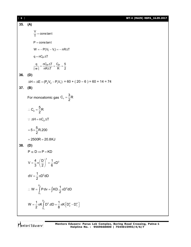| 6 ] |                                                                                                  | WT-4 (MAIN) RBPA_16.09.2017 |
|-----|--------------------------------------------------------------------------------------------------|-----------------------------|
| 35. | (A)                                                                                              |                             |
|     | $\frac{V}{T}$ = constant                                                                         |                             |
|     | $P = constant$                                                                                   |                             |
|     | $W = -P(V_f - V_i) = -nR\Delta T$                                                                |                             |
|     | $q = nCP \Delta T$                                                                               |                             |
|     | $\frac{q}{ w } = \frac{nC_P\Delta T}{nR\Delta T} = \frac{C_P}{R} = \frac{5}{2}$                  |                             |
| 36. | (D)                                                                                              |                             |
|     | $\Delta H = \Delta E + (P_2 V_2 - P_1 V_1) = 60 + (20 - 6) = 60 + 14 = 74$                       |                             |
| 37. | (B)                                                                                              |                             |
|     | For monoatomic gas $C_v = \frac{3}{2}R$                                                          |                             |
|     | $\therefore C_p = \frac{5}{2}R$                                                                  |                             |
|     | : $\Delta H = nC_p \Delta T$                                                                     |                             |
|     | $=5\times\frac{5}{2}R.200$                                                                       |                             |
|     | $= 2500R = 20.8KJ$                                                                               |                             |
| 38. | (D)                                                                                              |                             |
|     | $P \alpha D \Rightarrow P = KD$                                                                  |                             |
|     | $V = \frac{4}{3}\pi \left(\frac{D}{2}\right)^3 = \frac{1}{6}\pi D^3$                             |                             |
|     | $dV = \frac{1}{2} \pi D^2 dD$                                                                    |                             |
|     | $\therefore$ W = $\int_{D_1}^{D_2} P dv = \int K D \cdot \frac{1}{2} \pi D^2 dD$                 |                             |
|     | $W = \frac{1}{2} \pi K \int_{D_1}^{D_2} D^3 dD = \frac{1}{8} \pi K \left[ D_2^4 - D_1^4 \right]$ |                             |
|     |                                                                                                  |                             |

Mentors<sup>e</sup> Eduserv<sup>-</sup>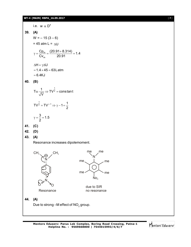#### **WT-4 (MAIN) RBPA\_16.09.2017** [ **7** ]



Mentors<sup>e</sup> Eduserv<sup>®</sup>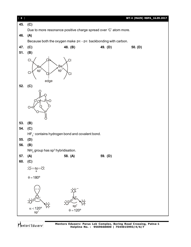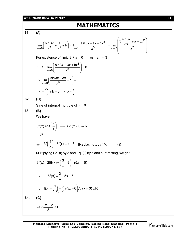#### **WT-4 (MAIN) RBPA\_16.09.2017** [ **9** ]

# **MATHEMATICS**

**61. (A)**

$$
\lim_{x\to0} \left( \frac{\sin 3x}{x^3} + \frac{a}{x^2} + b \right) = \lim_{x\to0} \left( \frac{\sin 3x + ax + bx^3}{x^3} \right) = \lim_{x\to0} \left( \frac{3 \frac{\sin 3x}{3x} + a + bx^2}{x^2} \right)
$$
  
For existence of limit,  $3 + a = 0 \implies a = -3$   

$$
\therefore I = \lim_{x\to0} \left( \frac{\sin 3x - 3x + bx^3}{x^3} \right) = 0
$$

$$
\implies \lim_{x\to0} \left( \frac{\sin 3x - 3x}{x^3} + b \right) = 0
$$

$$
\implies -\frac{27}{6} + b = 0 \implies b = \frac{9}{2}
$$
  
62. (C)  
Since of integral multiple of  $\pi = 0$   
63. (B)  
We have,
$$
3f(x) + 5f\left(\frac{1}{x}\right) = \frac{1}{x} - 3, \forall (x \neq 0) \in \mathbb{R}
$$
 $\dots(i)$ 
$$
\implies 3f\left(\frac{1}{x}\right) + 5f(x) = x - 3 \quad [\text{Replacing } x \text{ by } 1/x] \qquad \dots(ii)
$$
  
Multiplying Eq. (i) by 3 and Eq. (ii) by 5 and subtracting, we get  

$$
9f(x) - 25f(x) = \left(\frac{3}{x} - 9\right) - (5x - 15)
$$

$$
\Rightarrow -16f(x) = \frac{3}{x} - 5x + 6
$$

$$
\Rightarrow f(x) = \frac{1}{16} \left( -\frac{3}{x} + 5x - 6 \right), \forall (x \neq 0) \in \mathbb{R}
$$

**64. (C)**

$$
-1 \leq \frac{|x|-2}{3} \leq 1
$$

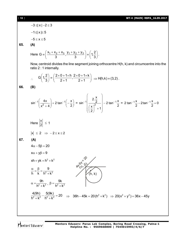#### [ **10** ] **WT-4 (MAIN) RBPA\_16.09.2017**

 $-3 \leq x \mid -2 \leq 3$  $-1 \le x \le 5$  $-5 \le x \le 5$ **65. (A)** Here G =  $\left(\frac{x_1 + x_2 + x_3}{2}, \frac{y_1 + y_2 + y_3}{2}\right)$  =  $\left(1, \frac{2}{x_1}\right)$  $3$   $3$   $1$   $3$  $=\left(\frac{x_1 + x_2 + x_3}{3}, \frac{y_1 + y_2 + y_3}{3}\right) \equiv \left(1, \frac{2}{3}\right).$ Now, centroid divides the line segment joining orthocentre H(h, k) and circumcentre into the ratio 2 : 1 internally.  $G\left(1,\frac{2}{3}\right) = \left(\frac{2\times0+1\times1}{2+1},\frac{2\times0+1\times1}{2+1}\right)$  $3$ )  $\begin{pmatrix} 2+1 & 2+1 \end{pmatrix}$  $\left(1,\frac{2}{3}\right)$  =  $\left(\frac{2\times0+1\times h}{2+1},\frac{2\times0+1\times k}{2+1}\right)$   $\Rightarrow$  H(h,k) = (3,2). **66. (B)** 1  $4x$  1  $2tan^{-1}$  $\left[\sin^{-1}\left(\frac{4x}{x^2+4}\right) + 2\tan^{-1}\left(-\frac{x}{2}\right)\right]$  $x^2 + 4$   $2$  $\left(-1\left(-\frac{4x}{x^2-4}\right)+2\tan^{-1}\left(-\frac{x}{2}\right)\right)$  $(x^2+4)$  (2)  $= \sin^{-1} \left| \frac{2}{(x^2)^2} \right| - 2 \tan^{-1}$  $\left|\frac{2 \cdot \frac{x}{2}}{-2}\right|$  - 2 tan<sup>-1</sup>/<sub>2</sub>  $\left(\frac{x}{2}\right)^2+1$  2  $-1$  2  $2$  $\begin{pmatrix} 2 & x \\ 2 & -1 \end{pmatrix}$  $\left(\frac{\frac{2}{2}}{\left(\frac{x}{2}\right)^2+1}\right)^{-1}$ = 2 tan<sup>-1</sup> $\frac{x}{2}$  -2tan<sup>-1</sup> $\frac{x}{2}$  = 0 2 2  $\frac{-1\frac{x}{2}}{-2\tan^{-1}\frac{x}{2}}=0$ Here  $\frac{x}{2}$  $\left| \frac{1}{2} \right| \leq 1$  $|x| \le 2 \Rightarrow -2 \le x \le 2$ **67. (A)**  $4\alpha - 5\beta = 20$  $x\alpha + y\beta = 9$  $xh + yk = h^2 + k^2$  $x+\alpha$ = $\mathcal{P}$  $\begin{pmatrix} \alpha \ \beta \ \gamma \end{pmatrix}$  $e^{2} + k^{2}$   $\sqrt{(h, k)}$ 9 h k  $h^2 + k^2$  $\frac{\alpha}{\alpha} = \frac{\beta}{\alpha} = \frac{\alpha}{\alpha}$  $^{+}$ 2,  $\sqrt{2}$ 9h  $h^2 + k^2$  $\alpha = \frac{1}{1}$  $\frac{1}{+k^2}$ ,  $\beta = \frac{1}{h^2 + k^2}$ 9k  $h^2 + k^2$  $\beta = \frac{1}{2}$  $\ddot{}$  $\frac{4(9h)}{2h^2 + k^2} - \frac{5(9k)}{h^2 + k^2} = 20$  $h^2 + k^2$   $h^2 + k^2$  $-\frac{O(O_1)}{1^2} = 2$  $\frac{24.7}{8.16} - \frac{26.64}{h^2 + k^2} = 20$   $\Rightarrow$  36h - 45k = 20(h<sup>2</sup> + k<sup>2</sup>)  $\Rightarrow$  20(x<sup>2</sup> + y<sup>2</sup>) = 36x - 45y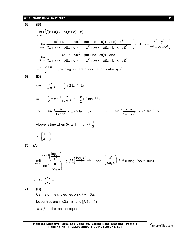**WT-4 (MAIN) RBPA\_16.09.2017** [ **11** ]

**68. (B)** 3 x  $\lim_{(x,0)} (\sqrt{(x+a)(x+b)(x+c)} - x)$  $\rightarrow \infty$  $(a + a)(x + b)(x + c) - x$  $3 + (a + b + c)v^2 + (ab + bc + ca)v + abc) - v^3$  $x \rightarrow \infty$  ((x+a)(x+b)(x+c))<sup>2/3</sup> + x<sup>2</sup> + x((x+a)(x+b)(x+c))<sup>1/3</sup>  $\lim \frac{(x^3 + (a + b + c)x^2 + (ab + bc + ca)x + abc) - x^2}{a^2a + b^2}$  $\rightarrow \infty ((x + a)(x + b)(x + c))^{2/3} + x^2 + x((x + a)(x + b)(x + c))$ =  $\lim \frac{(x^3 + (a+b+c)x^2 + (ab+bc+ca)x + abc) - x^2 + (ab+bc+ca)x + abc)}{2(2a-2)}$  $(x + a)(x + b)(x + c))^{2/3} + x^2 + x((x + a)(x + b)(x + c))$  $3 - x^3$  $2 + 2(1 + 1)^2$  $x - y = \frac{x^3 - y^3}{2}$  $x^2 + xy + y^2$  $\begin{pmatrix} x^3 - y^3 \\ y^3 - y^2 \end{pmatrix}$  $x^2 + xy + y^2$  $\ddot{\cdot}$ 2  $x \rightarrow \infty$  ((x+a)(x+b)(x+c))<sup>2/3</sup> + x<sup>2</sup> + x((x+a)(x+b)(x+c))<sup>1/3</sup>  $\lim$   $\frac{(a+b+c)x^2 + (ab+bc+ca)x + abc}{a^2}$  $\rightarrow \infty ((x + a)(x + b)(x + c))^{2/3} + x^2 + x((x + a)(x + b)(x + c))$ =  $\lim$   $\frac{(a+b+c)x^2 + (ab+bc+ca)x + a}{2(2-a)}$  $(x + a)(x + b)(x + c))^{2/3} + x^2 + x((x + a)(x + b)(x + c))$  $a + b + c$ 3  $=\frac{a+b+c}{2}$  (Dividing numerator and denominator by x<sup>2</sup>) **69. (D)** 1 2  $\cos^{-1} \frac{6x}{2}$  $1 + 9x$ - $\ddot{}$  $= -\frac{\pi}{2} + 2 \tan^{-1} 3x$ 2  $-\frac{\pi}{2} + 2 \tan^{-1}$  $\Rightarrow \frac{\pi}{2} - \sin^{-1}$  $\sin^{-1} \frac{6x}{1+9x^2}$ 2  $1 + 9x$  $\frac{\pi}{6}$  – sin<sup>-1</sup>  $\frac{6x}{x^2}$  =  $-\frac{\pi}{2}$  + 2 tan<sup>-1</sup> 3x 2  $-\frac{\pi}{2} + 2 \tan^{-1}$  $\Rightarrow$   $\sin^{-1} \frac{6x}{1+9x^2}$  $1 + 9x$ ÷  $+$ =  $\pi - 2 \tan^{-1} 3x$   $\implies$   $\sin^{-1} \frac{2.3x}{1 + (3x)^2} = \pi - 2 \tan^{-1} 3x$  $1 + (3x)$  $-1 \frac{2.5x}{\sqrt{2}} = \pi - 2 \tan^{-1}$  $^{+}$ Above is true when  $3x \ge 1 \Rightarrow x \ge \frac{1}{2}$ 3  $\geq$  $x \in \left[\frac{1}{2}, \infty\right]$ 3  $\in \left[\frac{1}{3}, \infty\right)$ **70. (A)**  $\frac{10}{}^{10}$  $\lim_{x\to\infty}$  coc<sup>-1</sup> a<sup>x</sup> a  $\cot^{-1}\left(\frac{\log_a x}{a}\right)$ Limit  $\frac{1}{2}$  x  $\sec^{-1}\left(\frac{a}{b}\right)$  $log_a x$ ÷  $\rightarrow \infty$  $\left(\frac{\log_{a} x}{x^{a}}\right)$  $\left(\frac{a^x}{\log_a x}\right)^x$  $\lim_{x\to\infty} \left( \frac{\log_a x}{x^a} \right) \to 0$ as  $\left(\frac{\log_a x}{x^a}\right) \rightarrow 0$  and x a a  $\left(\frac{a^x}{\log_a x}\right) \to \infty$  $\left(\frac{\overline{\log_{a}}}{\log_{a}}\right) \rightarrow \infty$  (using L'opital rule)  $\therefore$   $l =$ / 2 / 2  $\pi$  $\frac{11}{\pi/2}$  = 1 **71. (C)** Centre of the circles lies on  $x + y = 3a$ . let centres are  $(\alpha, 3a - \alpha)$  and  $(\beta, 3a - \beta)$  $\Rightarrow \alpha, \beta$  be the roots of equation

Mentors<sup>®</sup> Eduserv<sup>®</sup>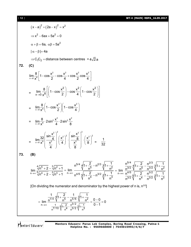[ **12** ] **WT-4 (MAIN) RBPA\_16.09.2017**

$$
(x-a)^2 + (2a-x)^2 = x^2
$$
\n
$$
\Rightarrow x^2 - 6ax + 5a^2 = 0
$$
\n
$$
a + \beta = 6a, \ \alpha\beta = 5a^2
$$
\n
$$
|\alpha - \beta| = 4a
$$
\n
$$
\Rightarrow C_1C_2 = \text{distance between centres } = 4\sqrt{2}a
$$
\n
$$
\text{(C)}
$$
\n
$$
\lim_{x \to 0} \frac{a}{x^6} \left[ 1 - \cos \frac{x^2}{2} - \cos \frac{x^2}{4} + \cos \frac{x^2}{2} \cos \frac{x^2}{4} \right]
$$
\n
$$
= \lim_{x \to 0} \frac{8}{x^8} \left[ \left( 1 - \cos \frac{x^2}{2} \right) - \cos \frac{x^2}{4} \left( 1 - \cos \frac{x^2}{2} \right) \right]
$$
\n
$$
= \lim_{x \to 0} \frac{8}{x^8} \left[ 1 - \cos \frac{x^2}{2} \right] \left( 1 - \cos \frac{x^2}{2} \right)
$$
\n
$$
= \lim_{x \to 0} \frac{8}{x^8} \left[ 1 - \cos \frac{x^2}{2} \right] \left( 1 - \cos \frac{x^2}{4} \right)
$$
\n
$$
= \lim_{x \to 0} \frac{8}{x^8} \left[ 2 \sin^2 \frac{x^2}{4} - 2 \sin^2 \frac{x^2}{8} \right]
$$
\n
$$
= \lim_{x \to 0} \frac{32}{x^8} \left[ \frac{\sin \frac{x^2}{4}}{\frac{x^2}{4}} \right]^2 \left( \frac{x^2}{4} \right)^2 \cdot \left( \frac{\sin \frac{x^2}{8}}{8} \right)^2 \cdot \left( \frac{x^2}{8} \right)^2 = \frac{1}{32}
$$
\n
$$
\text{73. (B)}
$$
\n
$$
\lim_{n \to \infty} \frac{4 \sqrt{n^6 + 2} - 3 \sqrt{n^2 + 1}}{\sqrt{3} \sqrt{n^4 + 2} - \sqrt[3]{n^3 + 1}} = \lim_{n \to \infty} \frac{n^{5/4} \sqrt{1 + \frac{2}{n^5}} - n^{2/3} \sqrt[3]{1 + \frac{1}{n^2}}
$$

Mentors<sup>\*</sup> Eduserv<sup>-</sup>

**Mentors Eduserv: Parus Lok Complex, Boring Road Crossing, Patna-1 Helpline No. : 9569668800 | 7544015993/4/6/7**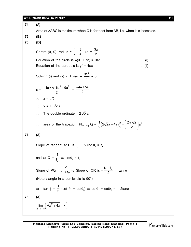#### **WT-4 (MAIN) RBPA\_16.09.2017** [ **13** ]

**74. (A)** Area of ABC is maximum when C is farthest from AB, i.e. when it is isosceles. **75. (B) 76. (D)** Centre (0, 0), radius =  $\frac{1}{2}$  $\frac{1}{2} \cdot \frac{3}{4}$  $\frac{3}{4}$ . 4a =  $\frac{3a}{2}$ 2 Equation of the circle is  $4(X^2 + y^2) = 9a^2$ ....(i) Equation of the parabols is  $y^2 = 4ax$  ....(ii) Solving (i) and (ii)  $x^2 + 4ax 9a^2$  $\frac{a}{4}$  = 0  $x = \frac{-4a \pm \sqrt{16a^2 + 9a^2}}{a}$ 2  $=\frac{-4a \pm 5a}{2}$ 2  $\therefore$   $x = a/2$  $\Rightarrow y = \pm \sqrt{2} a$  $\therefore$  The double ordinate = 2 $\sqrt{2}$  a  $\therefore$  area of the trapezium PL<sub>1</sub> L<sub>2</sub> Q =  $\frac{1}{2}(2\sqrt{2}a+4a)\frac{a}{2} = \left(\frac{2+\sqrt{2}}{2}\right)a^2$  $2^{(2)}$  2  $(2+\sqrt{2})$  $+4a\frac{a}{2} = \frac{2+a}{2} a$  $(2)$ **77. (A)** Slope of tangent at P is  $\frac{1}{\mathfrak{t}_1}$ 1  $\overline{t_1}$   $\Rightarrow$  cot  $\theta_1$  =  $t_1$ and at Q =  $\frac{1}{t_2}$ 1  $\overline{\mathrm{t}_2} \Rightarrow \cot \theta_2 = \mathrm{t}_2$ Slope of PQ =  $\frac{1}{t_1 + t_2}$ 2  $\overline{\mathfrak{t}_{1} + \mathfrak{t}_{2}} \Rightarrow$  Slope of OR is –  $t_1 + t_2$  $\frac{1}{2}$  = tan  $\phi$ (Note : angle in a semicircle is 90°)  $\Rightarrow$  tan  $\phi =$ 1  $\frac{1}{2}$  (cot  $\theta_1$  + cot $\theta_2$ )  $\Rightarrow$  cot $\theta_1$  + cot $\theta_2$  =  $-$  2tan $\phi$ **78. (A)** 2 x  $\lim$   $\int \sqrt{x^2 + 4x + x}$  $\lim_{x\to\infty} \left(\sqrt{x^2+4x}+x\right)$ 

**Mentors Eduserv: Parus Lok Complex, Boring Road Crossing, Patna-1 Helpline No. : 9569668800 | 7544015993/4/6/7**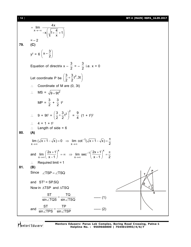[ **14** ] **WT-4 (MAIN) RBPA\_16.09.2017**

x  $\lim$   $\frac{4x}{\sqrt{2}}$  $x \int_1^2 1 + \frac{4}{1} + 1$ x  $\rightarrow -\infty$  $=$  $\left(\begin{array}{cc} 1 & 4 \end{array}\right)$  $-x\left[\sqrt{1 + \frac{1}{x}} + 1\right]$  $\begin{pmatrix} 0 & x & y \end{pmatrix}$  $=-2$ **79. (C)**  $y^2 = 6$  $\left(x-\frac{3}{2}\right)$ 2 Equation of directrix  $x -$ 3  $\frac{1}{2}$  =  $-$ 3  $\frac{1}{2}$  i.e.  $x = 0$ Let coordinate P be  $\left(\frac{3}{2} + \frac{3}{2}t^2, 3t\right)$ 2 2  $\therefore$  Coordinate of M are (0, 3t)  $\therefore$  MS =  $\sqrt{9+9t^2}$  $MP =$ 3  $\frac{1}{2}$  + 3  $\frac{1}{2}$  t<sup>2</sup>  $\therefore$  9 + 9t<sup>2</sup> =  $\left(\frac{3}{2} + \frac{3}{2}t^2\right)^2$  $\frac{3}{2} + \frac{3}{2}t^2$  = 9  $\frac{1}{4}$   $(1 + t^2)^2$  $\therefore$  4 = 1 + t<sup>2</sup>  $\therefore$  Length of side = 6 **80. (A)** 1  $x \rightarrow \infty$  x - $\lim (\sqrt{x} + 1 - \sqrt{x}) = 0 \Rightarrow \lim \cot^{-1}(\sqrt{x} + 1 - \sqrt{x})$ 2 - $\rightarrow \infty$   $X \rightarrow \infty$  $\overline{+1} - \sqrt{x}$ ) = 0  $\Rightarrow$  lim cot<sup>-1</sup>( $\sqrt{x+1} - \sqrt{x}$ ) =  $\frac{\pi}{2}$ and  $x$   $(x+1)^{X}$ 1  $x \rightarrow \infty$   $\left( x-1 \right)$  x- $\lim_{x \to 0} \left( \frac{2x+1}{1} \right)^x = \infty \implies \lim_{x \to 0} \sec^{-1} \left( \frac{2x+1}{1} \right)$  $x-1$   $x\rightarrow\infty$   $x-1$  2  $\overline{a}$  $\rightarrow \infty$   $\left( x-1\right)$   $x\rightarrow \infty$  $\left(\frac{2x+1}{x-1}\right)^{x} = \infty \implies \lim_{x \to \infty} \sec^{-1} \left(\frac{2x+1}{x-1}\right)^{x} = \frac{\pi}{2}$  $\therefore$  Required limit = 1 **81. (B)** Since  $\angle$ TSP =  $\angle$ TSQ and  $ST^2 = SP.SQ$ Now in  $\triangle$ TSP and  $\triangle$ TSQ **P S Q T**  $\theta$  $\theta$ ST TQ  $\mathsf{sin} \angle \mathsf{TQS}$  sin $\angle \mathsf{TSQ}$  $\frac{1}{\angle TQS} = \frac{1}{\sin \angle TSQ}$  ------ (1) and ST TP  $\mathsf{sin} \angle \mathsf{TPS}$   $\mathsf{sin} \angle \mathsf{TSP}$  $\frac{1}{\angle TPS} = \frac{1}{\sin \angle TSP}$  ------ (2)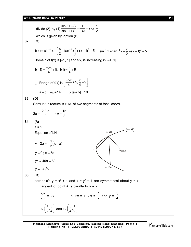#### **WT-4 (MAIN) RBPA\_16.09.2017** [ **15** ]

divide (2) by (1)  $\frac{\sin \angle TQS}{\sin \angle TDS} = \frac{TP}{TO} = 2$  or  $\frac{1}{2}$  $sin \angle TPS$  TQ 2  $\frac{\angle TQS}{\angle TDS} = \frac{TP}{TO} = 2$  $\angle$ which is given by option (B) **82. (C)**  $f(x) = \sin^{-1} x - \frac{\pi}{2} - \tan^{-1} x + (x + 1)^2 + 5$ 2  $1 = \sin^{-1} x - \left(\frac{\pi}{2} - \tan^{-1} x\right) + (x + 1)^2 + 5 = \sin^{-1} x + \tan^{-1} x - \frac{\pi}{2} + (x + 1)^2 + 5$ 2  $= \sin^{-1} x + \tan^{-1} x - \frac{\pi}{2} + (x + 1)^2 + \frac{\pi}{2}$ Domain of  $f(x)$  is  $[-1, 1]$  and  $f(x)$  is increasing in  $[-1, 1]$  $f(-1) = \frac{-5\pi}{4} + 5$ ,  $f(1) = \frac{\pi}{4} + 9$  $4 \t 4 \t 4$  $(-1) = \frac{-5\pi}{4} + 5$ ,  $f(1) = \frac{\pi}{4} + 5$  $\therefore$  Range of f(x) is  $\frac{5\pi}{1}$  + 5,  $\frac{\pi}{1}$  + 9  $4 \t 4$  $\left[\frac{-5\pi}{4} + 5, \frac{\pi}{4} + 9\right]$  $\Rightarrow$  a + b =  $-\pi$  + 14  $\Rightarrow$  [a + b] = 10 **83. (D)** Sami latus rectum is H.M. of two segments of focal chord. 2a =  $\frac{2.3.5}{2}$   $\Rightarrow$  a =  $\frac{15}{3}$ 8 8  $\Rightarrow$  a = -**84. (A)**  $a = 2$ Equation of LH  $y - 2a = -\frac{1}{2}(x - a)$ 2  $-2a = -\frac{1}{2}(x - a)$ (a, 2a) O N H L  $(10, 4\sqrt{5})$  $H(5a, 0)$ (a, -2a)  $y = 0$ ;  $x = 5a$  $y^2 = 40a = 80$  $v = \pm 4\sqrt{5}$ **85. (B)** parabola's  $y = x^2 + 1$  and  $x = y^2 + 1$  are symmetrical about  $y = x$  $\therefore$  tangent of point A is paralle to  $y = x$ dy  $\frac{dy}{dx}$  = 2x  $\implies$  2x = 1 $\implies$  x = 1  $\frac{1}{2}$  and y = 5 4 A  $\left(\frac{1}{2}, \frac{5}{4}\right)$  and B  $\left(\frac{5}{4}, \frac{1}{2}\right)$  $4^{\degree}2$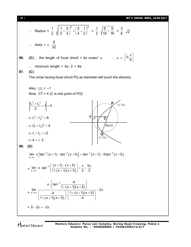